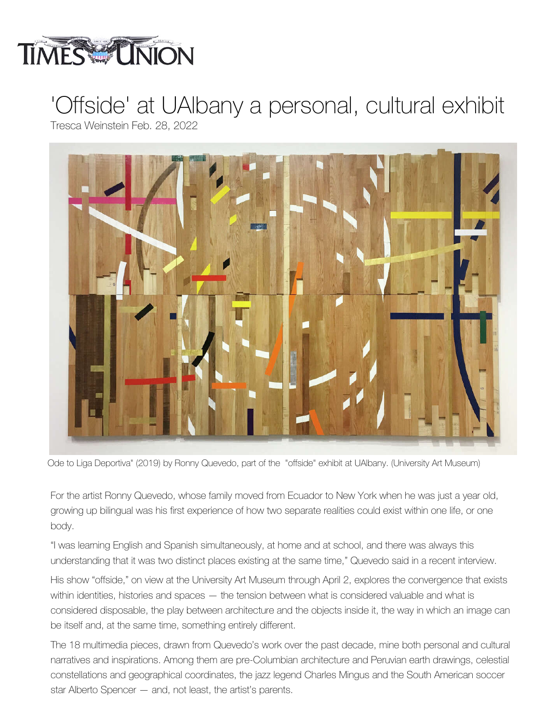

## 'Offside' at UAlbany a personal, cultural exhibit Tresca Weinstein Feb. 28, 2022



Ode to Liga Deportiva" (2019) by Ronny Quevedo, part of the "offside" exhibit at UAlbany. (University Art Museum)

For the artist Ronny Quevedo, whose family moved from Ecuador to New York when he was just a year old, growing up bilingual was his first experience of how two separate realities could exist within one life, or one body.

"I was learning English and Spanish simultaneously, at home and at school, and there was always this understanding that it was two distinct places existing at the same time," Quevedo said in a recent interview.

His show "offside," on view at the University Art Museum through April 2, explores the convergence that exists within identities, histories and spaces — the tension between what is considered valuable and what is considered disposable, the play between architecture and the objects inside it, the way in which an image can be itself and, at the same time, something entirely different.

The 18 multimedia pieces, drawn from Quevedo's work over the past decade, mine both personal and cultural narratives and inspirations. Among them are pre-Columbian architecture and Peruvian earth drawings, celestial constellations and geographical coordinates, the jazz legend Charles Mingus and the South American soccer star Alberto Spencer — and, not least, the artist's parents.